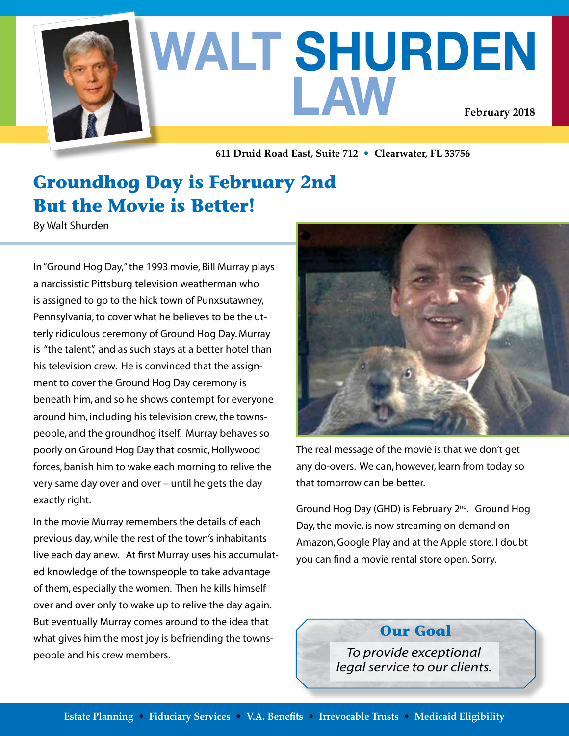

# **WALT SHURDEN LAW February 2018**

**611 Druid Road East, Suite 712 • Clearwater, FL 33756**

## **Groundhog Day is February 2nd But the Movie is Better!**

By Walt Shurden

In "Ground Hog Day," the 1993 movie, Bill Murray plays a narcissistic Pittsburg television weatherman who is assigned to go to the hick town of Punxsutawney, Pennsylvania, to cover what he believes to be the utterly ridiculous ceremony of Ground Hog Day. Murray is "the talent", and as such stays at a better hotel than his television crew. He is convinced that the assignment to cover the Ground Hog Day ceremony is beneath him, and so he shows contempt for everyone around him, including his television crew, the townspeople, and the groundhog itself. Murray behaves so poorly on Ground Hog Day that cosmic, Hollywood forces, banish him to wake each morning to relive the very same day over and over – until he gets the day exactly right.

In the movie Murray remembers the details of each previous day, while the rest of the town's inhabitants live each day anew. At first Murray uses his accumulated knowledge of the townspeople to take advantage of them, especially the women. Then he kills himself over and over only to wake up to relive the day again. But eventually Murray comes around to the idea that what gives him the most joy is befriending the townspeople and his crew members.



The real message of the movie is that we don't get any do-overs. We can, however, learn from today so that tomorrow can be better.

Ground Hog Day (GHD) is February 2<sup>nd</sup>. Ground Hog Day, the movie, is now streaming on demand on Amazon, Google Play and at the Apple store. I doubt you can find a movie rental store open. Sorry.

**Our Goal**

*To provide exceptional legal service to our clients.*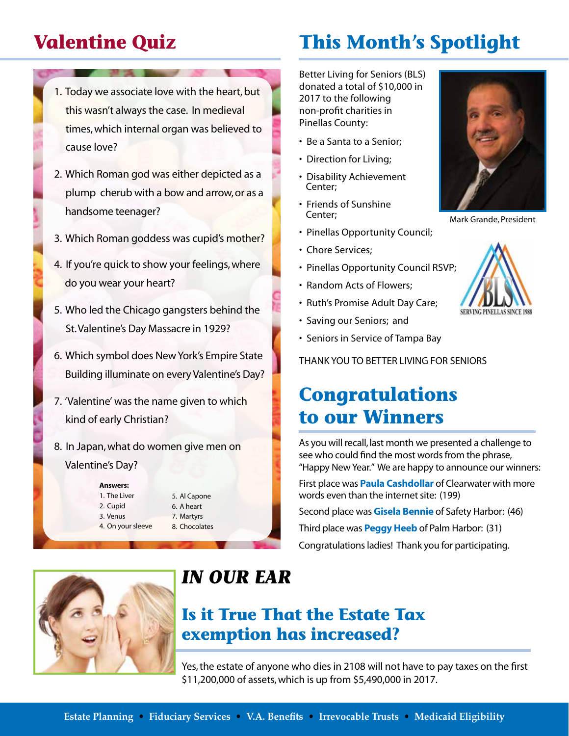## **Valentine Quiz**

- 1. Today we associate love with the heart, but this wasn't always the case. In medieval times, which internal organ was believed to cause love?
- 2. Which Roman god was either depicted as a plump cherub with a bow and arrow, or as a handsome teenager?
- 3. Which Roman goddess was cupid's mother?
- 4. If you're quick to show your feelings, where do you wear your heart?
- 5. Who led the Chicago gangsters behind the St. Valentine's Day Massacre in 1929?
- 6. Which symbol does New York's Empire State Building illuminate on every Valentine's Day?
- 7. 'Valentine' was the name given to which kind of early Christian?
- 8. In Japan, what do women give men on Valentine's Day?

#### **Answers:**

1. The Liver 2. Cupid 3. Venus 4. On your sleeve 5. Al Capone 6. A heart 7. Martyrs 8. Chocolates

# **This Month's Spotlight**

Better Living for Seniors (BLS) donated a total of \$10,000 in 2017 to the following non-profit charities in Pinellas County:

- Be a Santa to a Senior;
- Direction for Living;
- Disability Achievement Center;
- Friends of Sunshine Center;
- Pinellas Opportunity Council;
- Chore Services;
- Pinellas Opportunity Council RSVP;
- Random Acts of Flowers;
- Ruth's Promise Adult Day Care;
- Saving our Seniors; and
- Seniors in Service of Tampa Bay

THANK YOU TO BETTER LIVING FOR SENIORS

### **Congratulations to our Winners**

As you will recall, last month we presented a challenge to see who could find the most words from the phrase, "Happy New Year." We are happy to announce our winners:

First place was **Paula Cashdollar** of Clearwater with more words even than the internet site: (199)

Second place was **Gisela Bennie** of Safety Harbor: (46)

Third place was **Peggy Heeb** of Palm Harbor: (31) Congratulations ladies! Thank you for participating.



### *IN OUR EAR*

### **Is it True That the Estate Tax exemption has increased?**

Yes, the estate of anyone who dies in 2108 will not have to pay taxes on the first \$11,200,000 of assets, which is up from \$5,490,000 in 2017.



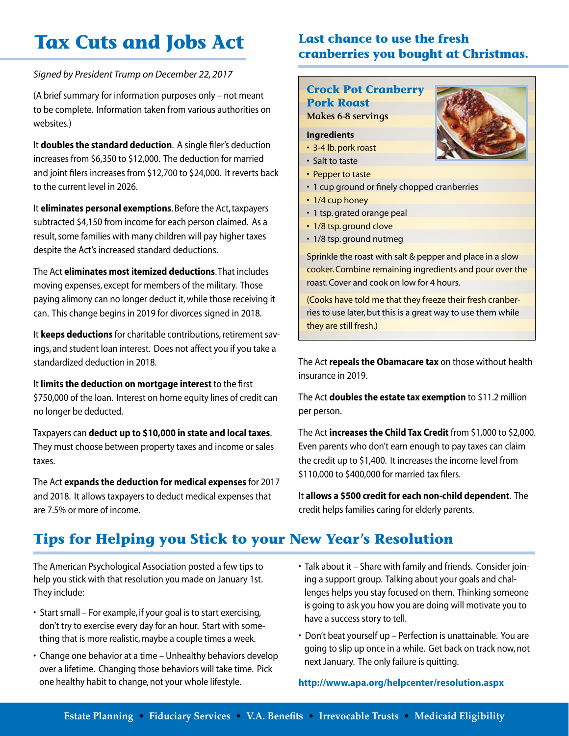# **Tax Cuts and Jobs Act**

#### *Signed by President Trump on December 22, 2017*

(A brief summary for information purposes only – not meant to be complete. Information taken from various authorities on websites.)

It **doubles the standard deduction**. A single filer's deduction increases from \$6,350 to \$12,000. The deduction for married and joint filers increases from \$12,700 to \$24,000. It reverts back to the current level in 2026.

It **eliminates personal exemptions**. Before the Act, taxpayers subtracted \$4,150 from income for each person claimed. As a result, some families with many children will pay higher taxes despite the Act's increased standard deductions.

The Act **eliminates most itemized deductions**. That includes moving expenses, except for members of the military. Those paying alimony can no longer deduct it, while those receiving it can. This change begins in 2019 for divorces signed in 2018.

It **keeps deductions** for charitable contributions, retirement savings, and student loan interest. Does not affect you if you take a standardized deduction in 2018.

It **limits the deduction on mortgage interest** to the first \$750,000 of the loan. Interest on home equity lines of credit can no longer be deducted.

Taxpayers can **deduct up to \$10,000 in state and local taxes**. They must choose between property taxes and income or sales taxes.

The Act **expands the deduction for medical expenses** for 2017 and 2018. It allows taxpayers to deduct medical expenses that are 7.5% or more of income.

#### **Last chance to use the fresh cranberries you bought at Christmas.**

#### **Crock Pot Cranberry**

**Pork Roast Makes 6-8 servings** 

#### **Ingredients**

- 3-4 lb. pork roast
- Salt to taste
- Pepper to taste
- 1 cup ground or finely chopped cranberries
- 1/4 cup honey
- 1 tsp. grated orange peal
- 1/8 tsp. ground clove
- 1/8 tsp. ground nutmeg

Sprinkle the roast with salt & pepper and place in a slow cooker. Combine remaining ingredients and pour over the roast. Cover and cook on low for 4 hours.

(Cooks have told me that they freeze their fresh cranberries to use later, but this is a great way to use them while they are still fresh.)

The Act **repeals the Obamacare tax** on those without health insurance in 2019.

The Act **doubles the estate tax exemption** to \$11.2 million per person.

The Act **increases the Child Tax Credit** from \$1,000 to \$2,000. Even parents who don't earn enough to pay taxes can claim the credit up to \$1,400. It increases the income level from \$110,000 to \$400,000 for married tax filers.

It **allows a \$500 credit for each non-child dependent**. The credit helps families caring for elderly parents.

### **Tips for Helping you Stick to your New Year's Resolution**

The American Psychological Association posted a few tips to help you stick with that resolution you made on January 1st. They include:

- Start small For example, if your goal is to start exercising, don't try to exercise every day for an hour. Start with some thing that is more realistic, maybe a couple times a week.
- Change one behavior at a time Unhealthy behaviors develop over a lifetime. Changing those behaviors will take time. Pick one healthy habit to change, not your whole lifestyle.
- Talk about it Share with family and friends. Consider join ing a support group. Talking about your goals and chal lenges helps you stay focused on them. Thinking someone is going to ask you how you are doing will motivate you to have a success story to tell.
- Don't beat yourself up Perfection is unattainable. You are going to slip up once in a while. Get back on track now, not next January. The only failure is quitting.

**http://www.apa.org/helpcenter/resolution.aspx**